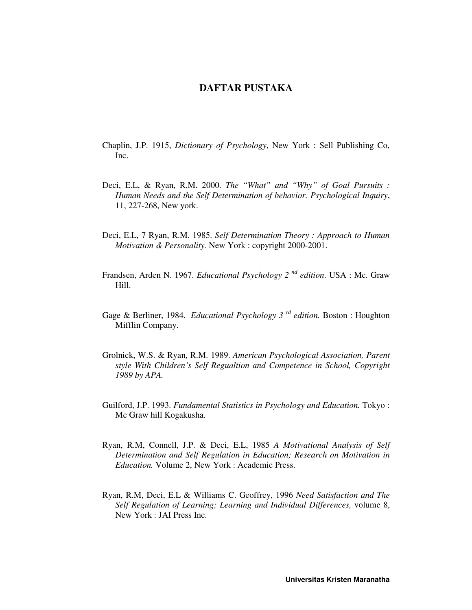## **DAFTAR PUSTAKA**

- Chaplin, J.P. 1915, *Dictionary of Psychology*, New York : Sell Publishing Co, Inc.
- Deci, E.L, & Ryan, R.M. 2000. *The "What" and "Why" of Goal Pursuits : Human Needs and the Self Determination of behavior. Psychological Inquiry*, 11, 227-268, New york.
- Deci, E.L, 7 Ryan, R.M. 1985. *Self Determination Theory : Approach to Human Motivation & Personality.* New York : copyright 2000-2001.
- Frandsen, Arden N. 1967. *Educational Psychology 2 nd edition*. USA : Mc. Graw Hill.
- Gage & Berliner, 1984. *Educational Psychology 3 rd edition.* Boston : Houghton Mifflin Company.
- Grolnick, W.S. & Ryan, R.M. 1989. *American Psychological Association, Parent style With Children's Self Regualtion and Competence in School, Copyright 1989 by APA.*
- Guilford, J.P. 1993. *Fundamental Statistics in Psychology and Education.* Tokyo : Mc Graw hill Kogakusha.
- Ryan, R.M, Connell, J.P. & Deci, E.L, 1985 *A Motivational Analysis of Self Determination and Self Regulation in Education; Research on Motivation in Education.* Volume 2, New York : Academic Press.
- Ryan, R.M, Deci, E.L & Williams C. Geoffrey, 1996 *Need Satisfaction and The Self Regulation of Learning; Learning and Individual Differences,* volume 8, New York : JAI Press Inc.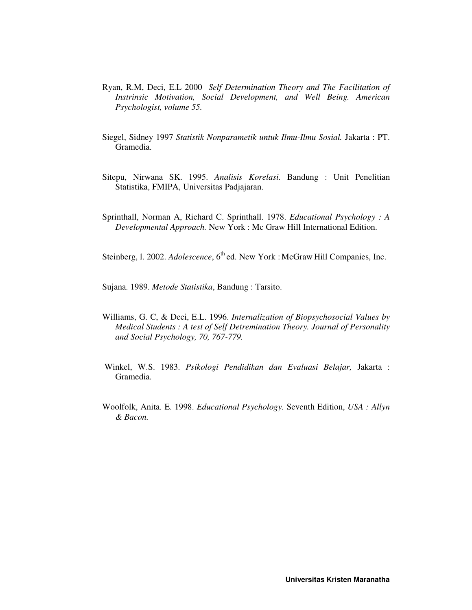- Ryan, R.M, Deci, E.L 2000 *Self Determination Theory and The Facilitation of Instrinsic Motivation, Social Development, and Well Being. American Psychologist, volume 55.*
- Siegel, Sidney 1997 *Statistik Nonparametik untuk Ilmu-Ilmu Sosial.* Jakarta : PT. Gramedia.
- Sitepu, Nirwana SK. 1995. *Analisis Korelasi.* Bandung : Unit Penelitian Statistika, FMIPA, Universitas Padjajaran.
- Sprinthall, Norman A, Richard C. Sprinthall. 1978. *Educational Psychology : A Developmental Approach.* New York : Mc Graw Hill International Edition.

Steinberg, 1. 2002. *Adolescence*, 6<sup>th</sup> ed. New York : McGraw Hill Companies, Inc.

Sujana. 1989. *Metode Statistika*, Bandung : Tarsito.

- Williams, G. C, & Deci, E.L. 1996. *Internalization of Biopsychosocial Values by Medical Students : A test of Self Detremination Theory. Journal of Personality and Social Psychology, 70, 767-779.*
- Winkel, W.S. 1983. *Psikologi Pendidikan dan Evaluasi Belajar,* Jakarta : Gramedia.
- Woolfolk, Anita. E. 1998. *Educational Psychology.* Seventh Edition, *USA : Allyn & Bacon.*